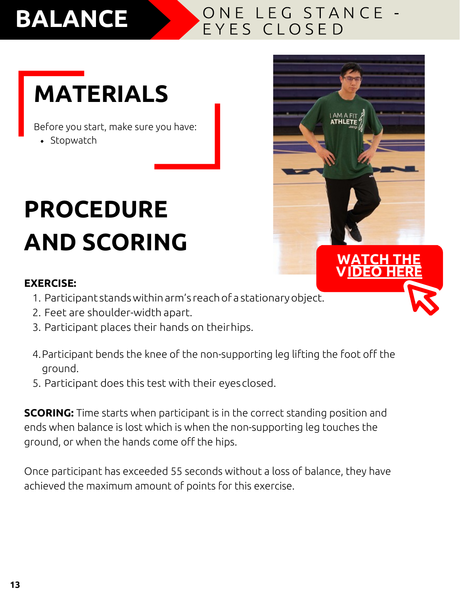## **BALANCE**

#### ONE LEG STANCE -EYES CLOSED

**[W ATCH THE](https://youtu.be/IDwQQV0IhxM) [V IDEO](https://youtu.be/IDwQQV0IhxM) HERE**

# **MATERIALS**

Before you start, make sure you have:

• Stopwatch

# **PROCEDURE AND SCORING**

#### **EXERCISE:**

- 1. Participant standswithinarm's reach of a stationaryobject.
- 2. Feet are shoulder-width apart.
- 3. Participant places their hands on theirhips.
- 4.Participant bends the knee of the non-supporting leg lifting the foot off the ground.
- 5. Participant does this test with their eyesclosed.

**SCORING:** Time starts when participant is in the correct standing position and ends when balance is lost which is when the non-supporting leg touches the ground, or when the hands come off the hips.

Once participant has exceeded 55 seconds without a loss of balance, they have achieved the maximum amount of points for this exercise.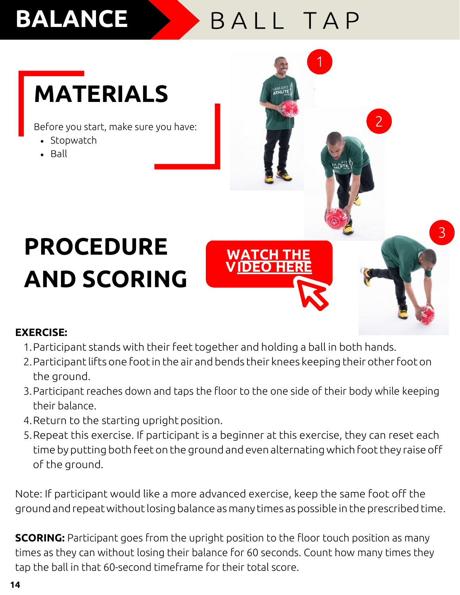## **BALANCE**

### BALL TAP

**WATCH THE [V IDEO](https://youtu.be/lIkXaINMARE) HERE** 1

3

## **MATERIALS**

Before you start, make sure you have: 2

- Stopwatch
- $-Ball$

# **PROCEDURE AND SCORING**

#### **EXERCISE:**

- 1. Participant stands with their feet together and holding a ball in both hands.
- 2. Participant lifts one foot in the air and bends their knees keeping their other foot on the ground.
- 3.Participant reaches down and taps the floor to the one side of their body while keeping their balance.
- 4.Return to the starting upright position.
- 5.Repeat this exercise. If participant is a beginner at this exercise, they can reset each time by putting both feet on the ground and even alternatingwhich foot they raise off of the ground.

Note: If participant would like a more advanced exercise, keep the same foot off the ground and repeat without losing balance as many times as possible in the prescribed time.

**SCORING:** Participant goes from the upright position to the floor touch position as many times as they can without losing their balance for 60 seconds. Count how many times they tap the ball in that 60-second timeframe for their total score.